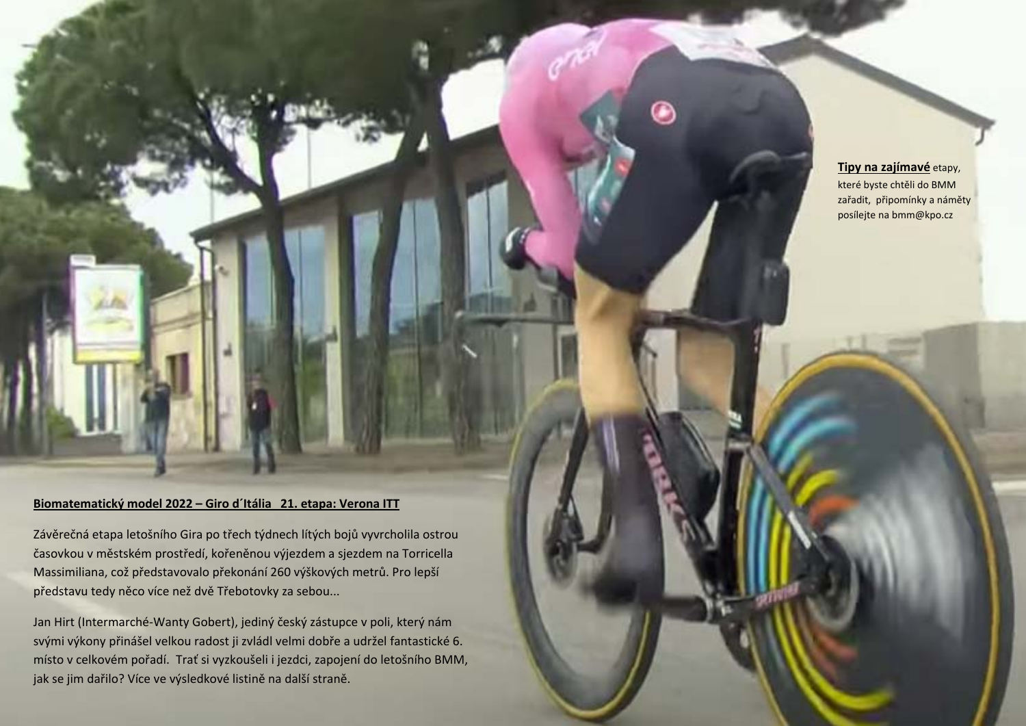**Tipy na zajímavé** etapy, které byste chtěli do BMM zařadit, připomínky <sup>a</sup> náměty posílejte na bmm@kpo.cz

## **Biomatematický model 2022 – Giro d´Itália 21. etapa: Verona ITT**

Závěrečná etapa letošního Gira po <sup>t</sup>řech týdnech lítých bojů vyvrcholila ostrou časovkou <sup>v</sup> <sup>m</sup>ěstském prostředí, kořeněnou výjezdem <sup>a</sup> sjezdem na Torricella Massimiliana, což představovalo překonání 260 výškových metrů. Pro lepší představu tedy <sup>n</sup>ěco více než dvě Třebotovky za sebou...

Jan Hirt (Intermarché‐Wanty Gobert), jediný český zástupce <sup>v</sup> poli, který nám svými výkony přinášel velkou radost ji zvládl velmi dobř<sup>e</sup> <sup>a</sup> udržel fantastické 6. místo <sup>v</sup> celkovém pořadí. Trať si vyzkoušeli i jezdci, zapojení do letošního BMM, jak se jim dařilo? Více ve výsledkové listině na další straně.